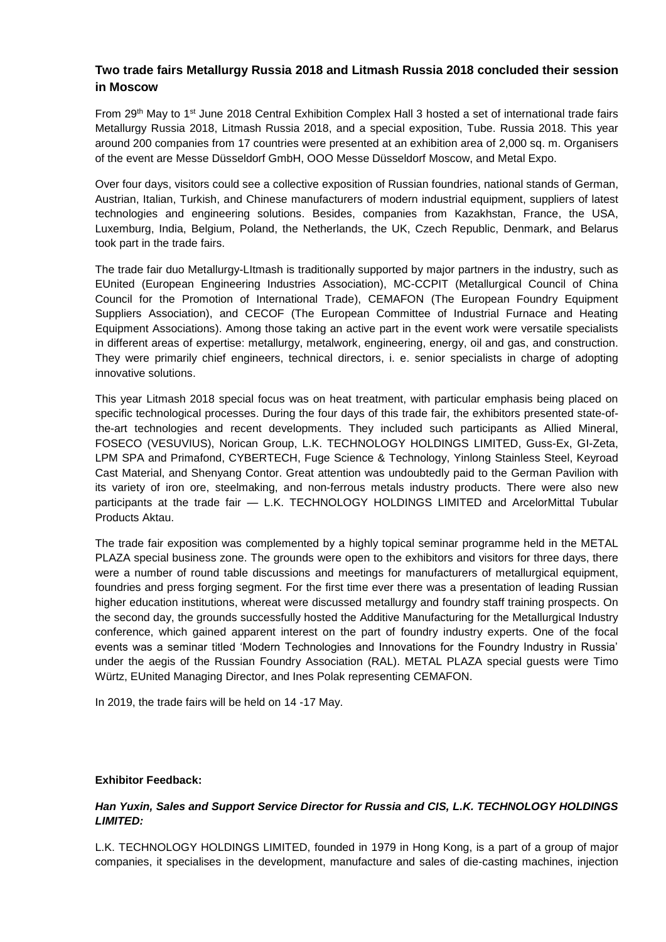# **Two trade fairs Metallurgy Russia 2018 and Litmash Russia 2018 concluded their session in Moscow**

From 29<sup>th</sup> May to 1<sup>st</sup> June 2018 Central Exhibition Complex Hall 3 hosted a set of international trade fairs Metallurgy Russia 2018, Litmash Russia 2018, and a special exposition, Tube. Russia 2018. This year around 200 companies from 17 countries were presented at an exhibition area of 2,000 sq. m. Organisers of the event are Messe Düsseldorf GmbH, OOO Messe Düsseldorf Moscow, and Metal Expo.

Over four days, visitors could see a collective exposition of Russian foundries, national stands of German, Austrian, Italian, Turkish, and Chinese manufacturers of modern industrial equipment, suppliers of latest technologies and engineering solutions. Besides, companies from Kazakhstan, France, the USA, Luxemburg, India, Belgium, Poland, the Netherlands, the UK, Czech Republic, Denmark, and Belarus took part in the trade fairs.

The trade fair duo Metallurgy-LItmash is traditionally supported by major partners in the industry, such as EUnited (European Engineering Industries Association), MC-CCPIT (Metallurgical Council of China Council for the Promotion of International Trade), CEMAFON (The European Foundry Equipment Suppliers Association), and CECOF (The European Committee of Industrial Furnace and Heating Equipment Associations). Among those taking an active part in the event work were versatile specialists in different areas of expertise: metallurgy, metalwork, engineering, energy, oil and gas, and construction. They were primarily chief engineers, technical directors, i. e. senior specialists in charge of adopting innovative solutions.

This year Litmash 2018 special focus was on heat treatment, with particular emphasis being placed on specific technological processes. During the four days of this trade fair, the exhibitors presented state-ofthe-art technologies and recent developments. They included such participants as Allied Mineral, FOSECO (VESUVIUS), Norican Group, L.K. TECHNOLOGY HOLDINGS LIMITED, Guss-Ex, GI-Zeta, LPM SPA and Primafond, CYBERTECH, Fuge Science & Technology, Yinlong Stainless Steel, Keyroad Cast Material, and Shenyang Contor. Great attention was undoubtedly paid to the German Pavilion with its variety of iron ore, steelmaking, and non-ferrous metals industry products. There were also new participants at the trade fair — L.K. TECHNOLOGY HOLDINGS LIMITED and ArcelorMittal Tubular Products Aktau.

The trade fair exposition was complemented by a highly topical seminar programme held in the METAL PLAZA special business zone. The grounds were open to the exhibitors and visitors for three days, there were a number of round table discussions and meetings for manufacturers of metallurgical equipment, foundries and press forging segment. For the first time ever there was a presentation of leading Russian higher education institutions, whereat were discussed metallurgy and foundry staff training prospects. On the second day, the grounds successfully hosted the Additive Manufacturing for the Metallurgical Industry conference, which gained apparent interest on the part of foundry industry experts. One of the focal events was a seminar titled 'Modern Technologies and Innovations for the Foundry Industry in Russia' under the aegis of the Russian Foundry Association (RAL). METAL PLAZA special guests were Timo Würtz, EUnited Managing Director, and Ines Polak representing CEMAFON.

In 2019, the trade fairs will be held on 14 -17 May.

#### **Exhibitor Feedback:**

### *Han Yuxin, Sales and Support Service Director for Russia and CIS, L.K. TECHNOLOGY HOLDINGS LIMITED:*

L.K. TECHNOLOGY HOLDINGS LIMITED, founded in 1979 in Hong Kong, is a part of a group of major companies, it specialises in the development, manufacture and sales of die-casting machines, injection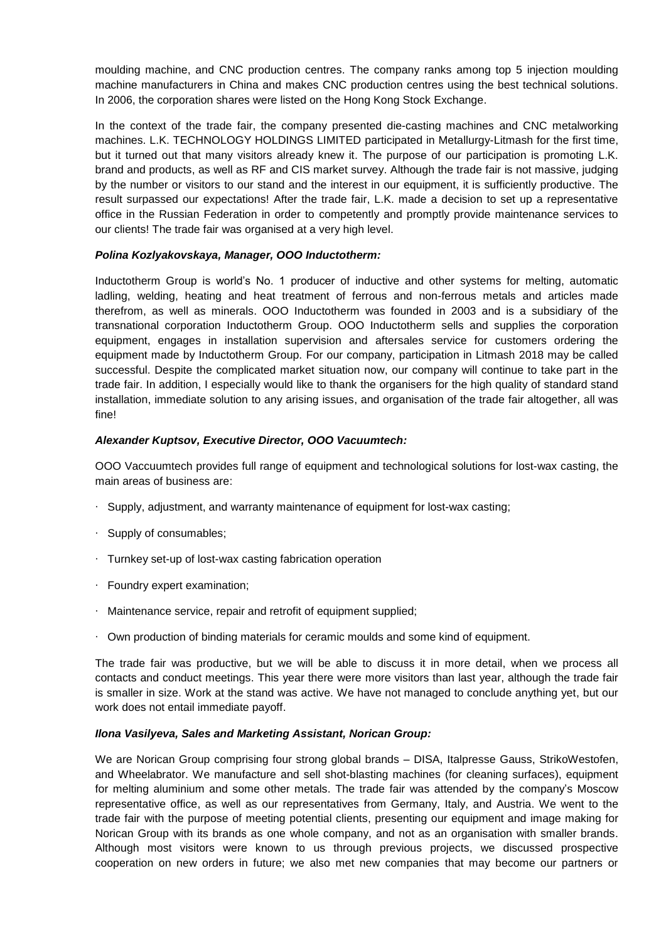moulding machine, and CNC production centres. The company ranks among top 5 injection moulding machine manufacturers in China and makes CNC production centres using the best technical solutions. In 2006, the corporation shares were listed on the Hong Kong Stock Exchange.

In the context of the trade fair, the company presented die-casting machines and CNC metalworking machines. L.K. TECHNOLOGY HOLDINGS LIMITED participated in Metallurgy-Litmash for the first time, but it turned out that many visitors already knew it. The purpose of our participation is promoting L.K. brand and products, as well as RF and CIS market survey. Although the trade fair is not massive, judging by the number or visitors to our stand and the interest in our equipment, it is sufficiently productive. The result surpassed our expectations! After the trade fair, L.K. made a decision to set up a representative office in the Russian Federation in order to competently and promptly provide maintenance services to our clients! The trade fair was organised at a very high level.

### *Polina Kozlyakovskaya, Manager, OOO Inductotherm:*

Inductotherm Group is world's No. 1 producer of inductive and other systems for melting, automatic ladling, welding, heating and heat treatment of ferrous and non-ferrous metals and articles made therefrom, as well as minerals. OOO Inductotherm was founded in 2003 and is a subsidiary of the transnational corporation Inductotherm Group. OOO Inductotherm sells and supplies the corporation equipment, engages in installation supervision and aftersales service for customers ordering the equipment made by Inductotherm Group. For our company, participation in Litmash 2018 may be called successful. Despite the complicated market situation now, our company will continue to take part in the trade fair. In addition, I especially would like to thank the organisers for the high quality of standard stand installation, immediate solution to any arising issues, and organisation of the trade fair altogether, all was fine!

## *Alexander Kuptsov, Executive Director, OOO Vacuumtech:*

OOO Vaccuumtech provides full range of equipment and technological solutions for lost-wax casting, the main areas of business are:

- ∙ Supply, adjustment, and warranty maintenance of equipment for lost-wax casting;
- ∙ Supply of consumables;
- ∙ Turnkey set-up of lost-wax casting fabrication operation
- ∙ Foundry expert examination;
- ∙ Maintenance service, repair and retrofit of equipment supplied;
- ∙ Own production of binding materials for ceramic moulds and some kind of equipment.

The trade fair was productive, but we will be able to discuss it in more detail, when we process all contacts and conduct meetings. This year there were more visitors than last year, although the trade fair is smaller in size. Work at the stand was active. We have not managed to conclude anything yet, but our work does not entail immediate payoff.

### *Ilona Vasilyeva, Sales and Marketing Assistant, Norican Group:*

We are Norican Group comprising four strong global brands – DISA, Italpresse Gauss, StrikoWestofen, and Wheelabrator. We manufacture and sell shot-blasting machines (for cleaning surfaces), equipment for melting aluminium and some other metals. The trade fair was attended by the company's Moscow representative office, as well as our representatives from Germany, Italy, and Austria. We went to the trade fair with the purpose of meeting potential clients, presenting our equipment and image making for Norican Group with its brands as one whole company, and not as an organisation with smaller brands. Although most visitors were known to us through previous projects, we discussed prospective cooperation on new orders in future; we also met new companies that may become our partners or